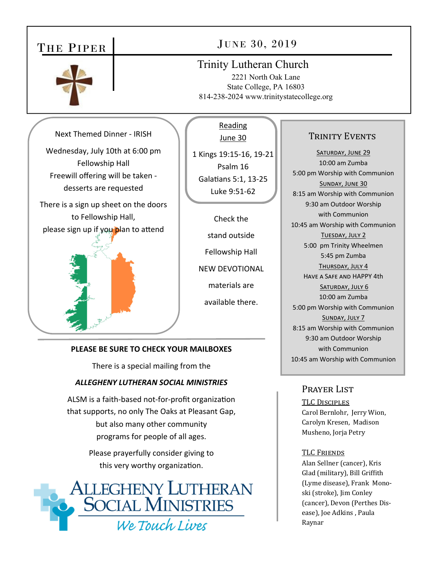# THE PIPER



# JUNE 30, 2019

## Trinity Lutheran Church

2221 North Oak Lane State College, PA 16803 814-238-2024 www.trinitystatecollege.org

Next Themed Dinner ‐ IRISH

Wednesday, July 10th at 6:00 pm Fellowship Hall Freewill offering will be taken ‐ desserts are requested

There is a sign up sheet on the doors to Fellowship Hall, please sign up if you plan to attend



#### Reading June 30

1 Kings 19:15‐16, 19‐21 Psalm 16 Galatians 5:1, 13-25 Luke 9:51‐62

Check the stand outside Fellowship Hall NEW DEVOTIONAL materials are available there.

### **PLEASE BE SURE TO CHECK YOUR MAILBOXES**

There is a special mailing from the

### *ALLEGHENY LUTHERAN SOCIAL MINISTRIES*

ALSM is a faith-based not-for-profit organization that supports, no only The Oaks at Pleasant Gap, but also many other community programs for people of all ages.

> Please prayerfully consider giving to this very worthy organization.



## TRINITY EVENTS

SATURDAY, JUNE 29 10:00 am Zumba 5:00 pm Worship with Communion SUNDAY, JUNE 30 8:15 am Worship with Communion 9:30 am Outdoor Worship with Communion 10:45 am Worship with Communion TUESDAY, JULY 2 5:00 pm Trinity Wheelmen 5:45 pm Zumba THURSDAY, JULY 4 HAVE A SAFE AND HAPPY 4th SATURDAY, JULY 6 10:00 am Zumba 5:00 pm Worship with Communion SUNDAY, JULY 7 8:15 am Worship with Communion 9:30 am Outdoor Worship with Communion 10:45 am Worship with Communion

### Prayer List

#### TLC DISCIPLES

Carol Bernlohr, Jerry Wion, Carolyn Kresen, Madison Musheno, Jorja Petry

#### **TLC FRIENDS**

Alan Sellner (cancer), Kris Glad (military), Bill Griffith (Lyme disease), Frank Monoski (stroke), Jim Conley (cancer), Devon (Perthes Disease), Joe Adkins , Paula Raynar